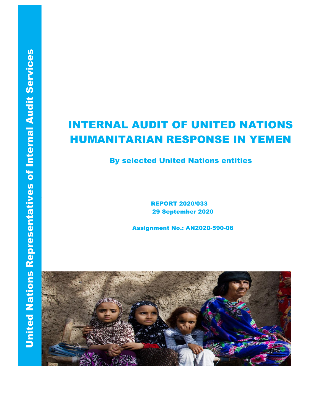# INTERNAL AUDIT OF UNITED NATIONS HUMANITARIAN RESPONSE IN YEMEN

## By selected United Nations entities

REPORT 2020/033 29 September 2020

Assignment No.: AN2020-590-06

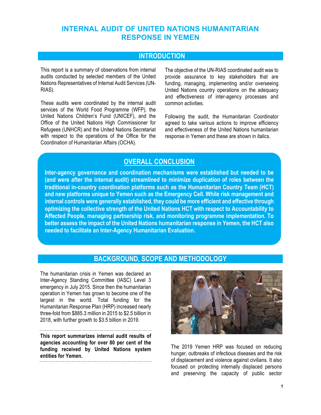## **INTERNAL AUDIT OF UNITED NATIONS HUMANITARIAN RESPONSE IN YEMEN**

## **INTRODUCTION**

This report is a summary of observations from internal audits conducted by selected members of the United Nations Representatives of Internal Audit Services (UN-RIAS).

These audits were coordinated by the internal audit services of the World Food Programme (WFP), the United Nations Children's Fund (UNICEF), and the Office of the United Nations High Commissioner for Refugees (UNHCR) and the United Nations Secretariat with respect to the operations of the Office for the Coordination of Humanitarian Affairs (OCHA).

The objective of the UN-RIAS coordinated audit was to provide assurance to key stakeholders that are funding, managing, implementing and/or overseeing United Nations country operations on the adequacy and effectiveness of inter-agency processes and common activities.

Following the audit, the Humanitarian Coordinator agreed to take various actions to improve efficiency and effectiveness of the United Nations humanitarian response in Yemen and these are shown in italics.

## **OVERALL CONCLUSION**

**Inter-agency governance and coordination mechanisms were established but needed to be (and were after the internal audit) streamlined to minimize duplication of roles between the traditional in-country coordination platforms such as the Humanitarian Country Team (HCT) and new platforms unique to Yemen such as the Emergency Cell. While risk management and internal controls were generally established, they could be more efficient and effective through optimizing the collective strength of the United Nations HCT with respect to Accountability to Affected People, managing partnership risk, and monitoring programme implementation. To better assess the impact of the United Nations humanitarian response in Yemen, the HCT also needed to facilitate an Inter-Agency Humanitarian Evaluation.**

### **BACKGROUND, SCOPE AND METHODOLOGY**

The humanitarian crisis in Yemen was declared an Inter-Agency Standing Committee (IASC) Level 3 emergency in July 2015. Since then the humanitarian operation in Yemen has grown to become one of the largest in the world. Total funding for the Humanitarian Response Plan (HRP) increased nearly three-fold from \$885.3 million in 2015 to \$2.5 billion in 2018, with further growth to \$3.5 billion in 2019.

**This report summarizes internal audit results of agencies accounting for over 80 per cent of the funding received by United Nations system entities for Yemen.**



The 2019 Yemen HRP was focused on reducing hunger, outbreaks of infectious diseases and the risk of displacement and violence against civilians. It also focused on protecting internally displaced persons and preserving the capacity of public sector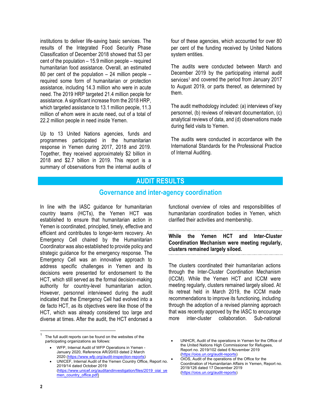institutions to deliver life-saving basic services. The results of the Integrated Food Security Phase Classification of December 2018 showed that 53 per cent of the population – 15.9 million people – required humanitarian food assistance. Overall, an estimated 80 per cent of the population – 24 million people – required some form of humanitarian or protection assistance, including 14.3 million who were in acute need. The 2019 HRP targeted 21.4 million people for assistance. A significant increase from the 2018 HRP, which targeted assistance to 13.1 million people, 11.3 million of whom were in acute need, out of a total of 22.2 million people in need inside Yemen.

Up to 13 United Nations agencies, funds and programmes participated in the humanitarian response in Yemen during 2017, 2018 and 2019. Together, they received approximately \$2 billion in 2018 and \$2.7 billion in 2019. This report is a summary of observations from the internal audits of

four of these agencies, which accounted for over 80 per cent of the funding received by United Nations system entities.

The audits were conducted between March and December 2019 by the participating internal audit services<sup>1</sup> and covered the period from January 2017 to August 2019, or parts thereof, as determined by them.

The audit methodology included: (a) interviews of key personnel, (b) reviews of relevant documentation, (c) analytical reviews of data, and (d) observations made during field visits to Yemen.

The audits were conducted in accordance with the International Standards for the Professional Practice of Internal Auditing.

## **AUDIT RESULTS**

#### **Governance and inter-agency coordination**

In line with the IASC guidance for humanitarian country teams (HCTs), the Yemen HCT was established to ensure that humanitarian action in Yemen is coordinated, principled, timely, effective and efficient and contributes to longer-term recovery. An Emergency Cell chaired by the Humanitarian Coordinator was also established to provide policy and strategic guidance for the emergency response. The Emergency Cell was an innovative approach to address specific challenges in Yemen and its decisions were presented for endorsement to the HCT, which still served as the formal decision-making authority for country-level humanitarian action. However, personnel interviewed during the audit indicated that the Emergency Cell had evolved into a de facto HCT, as its objectives were like those of the HCT, which was already considered too large and diverse at times. After the audit, the HCT endorsed a

The full audit reports can be found on the websites of the participating organizations as follows:

functional overview of roles and responsibilities of humanitarian coordination bodies in Yemen, which clarified their activities and membership.

**While the Yemen HCT and Inter-Cluster Coordination Mechanism were meeting regularly, clusters remained largely siloed.**

The clusters coordinated their humanitarian actions through the Inter-Cluster Coordination Mechanism (ICCM). While the Yemen HCT and ICCM were meeting regularly, clusters remained largely siloed. At its retreat held in March 2019, the ICCM made recommendations to improve its functioning, including through the adoption of a revised planning approach that was recently approved by the IASC to encourage more inter-cluster collaboration. Sub-national

<sup>•</sup> WFP, Internal Audit of WFP Operations in Yemen - January 2020, Reference AR/20/03 dated 2 March 2020 (https://www.wfp.org/audit-inspection-reports)

<sup>•</sup> UNICEF, Internal Audit of the Yemen Country Office, Report no. 2019/14 dated October 2019 (https://www.unicef.org/auditandinvestigation/files/2019\_oiai\_ye men\_country\_office.pdf)

UNHCR, Audit of the operations in Yemen for the Office of the United Nations High Commissioner for Refugees, Report no. 2019/102 dated 6 November 2019 (https://oios.un.org/audit-reports)

<sup>•</sup> OIOS, Audit of the operations of the Office for the Coordination of Humanitarian Affairs in Yemen, Report no. 2019/126 dated 17 December 2019 (https://oios.un.org/audit-reports)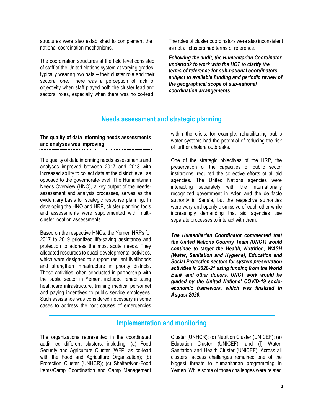structures were also established to complement the national coordination mechanisms.

The coordination structures at the field level consisted of staff of the United Nations system at varying grades, typically wearing two hats – their cluster role and their sectoral one. There was a perception of lack of objectivity when staff played both the cluster lead and sectoral roles, especially when there was no co-lead. The roles of cluster coordinators were also inconsistent as not all clusters had terms of reference.

*Following the audit, the Humanitarian Coordinator undertook to work with the HCT to clarify the terms of reference for sub-national coordinators, subject to available funding and periodic review of the geographical scope of sub-national coordination arrangements.*

#### **Needs assessment and strategic planning**

#### **The quality of data informing needs assessments and analyses was improving.**

The quality of data informing needs assessments and analyses improved between 2017 and 2018 with increased ability to collect data at the district level, as opposed to the governorate-level. The Humanitarian Needs Overview (HNO), a key output of the needsassessment and analysis processes, serves as the evidentiary basis for strategic response planning. In developing the HNO and HRP, cluster planning tools and assessments were supplemented with multicluster location assessments.

Based on the respective HNOs, the Yemen HRPs for 2017 to 2019 prioritized life-saving assistance and protection to address the most acute needs. They allocated resources to quasi-developmental activities, which were designed to support resilient livelihoods and strengthen infrastructure in priority districts. These activities, often conducted in partnership with the public sector in Yemen, included rehabilitating healthcare infrastructure, training medical personnel and paying incentives to public service employees. Such assistance was considered necessary in some cases to address the root causes of emergencies

within the crisis; for example, rehabilitating public water systems had the potential of reducing the risk of further cholera outbreaks.

One of the strategic objectives of the HRP, the preservation of the capacities of public sector institutions, required the collective efforts of all aid agencies. The United Nations agencies were interacting separately with the internationally recognized government in Aden and the de facto authority in Sana'a, but the respective authorities were wary and openly dismissive of each other while increasingly demanding that aid agencies use separate processes to interact with them.

*The Humanitarian Coordinator commented that the United Nations Country Team (UNCT) would continue to target the Health, Nutrition, WASH (Water, Sanitation and Hygiene), Education and Social Protection sectors for system preservation activities in 2020-21 using funding from the World Bank and other donors. UNCT work would be guided by the United Nations' COVID-19 socioeconomic framework, which was finalized in August 2020.*

#### **Implementation and monitoring**

The organizations represented in the coordinated audit led different clusters, including: (a) Food Security and Agriculture Cluster (WFP, as co-lead with the Food and Agriculture Organization); (b) Protection Cluster (UNHCR); (c) Shelter/Non-Food Items/Camp Coordination and Camp Management

Cluster (UNHCR); (d) Nutrition Cluster (UNICEF); (e) Education Cluster (UNICEF); and (f) Water, Sanitation and Health Cluster (UNICEF). Across all clusters, access challenges remained one of the biggest threats to humanitarian programming in Yemen. While some of those challenges were related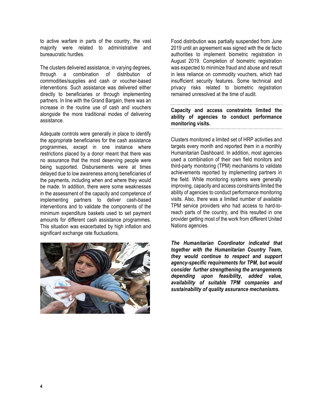to active warfare in parts of the country, the vast majority were related to administrative and bureaucratic hurdles.

The clusters delivered assistance, in varying degrees, through a combination of distribution of commodities/supplies and cash or voucher-based interventions. Such assistance was delivered either directly to beneficiaries or through implementing partners. In line with the Grand Bargain, there was an increase in the routine use of cash and vouchers alongside the more traditional modes of delivering assistance.

Adequate controls were generally in place to identify the appropriate beneficiaries for the cash assistance programmes, except in one instance where restrictions placed by a donor meant that there was no assurance that the most deserving people were being supported. Disbursements were at times delayed due to low awareness among beneficiaries of the payments, including when and where they would be made. In addition, there were some weaknesses in the assessment of the capacity and competence of implementing partners to deliver cash-based interventions and to validate the components of the minimum expenditure baskets used to set payment amounts for different cash assistance programmes. This situation was exacerbated by high inflation and significant exchange rate fluctuations.



Food distribution was partially suspended from June 2019 until an agreement was signed with the de facto authorities to implement biometric registration in August 2019. Completion of biometric registration was expected to minimize fraud and abuse and result in less reliance on commodity vouchers, which had insufficient security features. Some technical and privacy risks related to biometric registration remained unresolved at the time of audit.

**Capacity and access constraints limited the ability of agencies to conduct performance monitoring visits.**

Clusters monitored a limited set of HRP activities and targets every month and reported them in a monthly Humanitarian Dashboard. In addition, most agencies used a combination of their own field monitors and third-party monitoring (TPM) mechanisms to validate achievements reported by implementing partners in the field. While monitoring systems were generally improving, capacity and access constraints limited the ability of agencies to conduct performance monitoring visits. Also, there was a limited number of available TPM service providers who had access to hard-toreach parts of the country, and this resulted in one provider getting most of the work from different United Nations agencies.

*The Humanitarian Coordinator indicated that together with the Humanitarian Country Team, they would continue to respect and support agency-specific requirements for TPM, but would consider further strengthening the arrangements depending upon feasibility, added value, availability of suitable TPM companies and sustainability of quality assurance mechanisms.*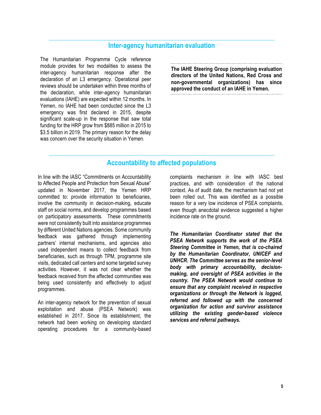#### **Inter-agency humanitarian evaluation**

The Humanitarian Programme Cycle reference module provides for two modalities to assess the inter-agency humanitarian response after the declaration of an L3 emergency. Operational peer reviews should be undertaken within three months of the declaration, while inter-agency humanitarian evaluations (IAHE) are expected within 12 months. In Yemen, no IAHE had been conducted since the L3 emergency was first declared in 2015, despite significant scale-up in the response that saw total funding for the HRP grow from \$885 million in 2015 to \$3.5 billion in 2019. The primary reason for the delay was concern over the security situation in Yemen.

**The IAHE Steering Group (comprising evaluation directors of the United Nations, Red Cross and non-governmental organizations) has since approved the conduct of an IAHE in Yemen.**

#### **Accountability to affected populations**

In line with the IASC "Commitments on Accountability to Affected People and Protection from Sexual Abuse" updated in November 2017, the Yemen HRP committed to: provide information to beneficiaries, involve the community in decision-making, educate staff on social norms, and develop programmes based on participatory assessments. These commitments were not consistently built into assistance programmes by different United Nations agencies. Some community feedback was gathered through implementing partners' internal mechanisms, and agencies also used independent means to collect feedback from beneficiaries, such as through TPM, programme site visits, dedicated call centers and some targeted survey activities. However, it was not clear whether the feedback received from the affected communities was being used consistently and effectively to adjust programmes.

An inter-agency network for the prevention of sexual exploitation and abuse (PSEA Network) was established in 2017. Since its establishment, the network had been working on developing standard operating procedures for a community-based

complaints mechanism in line with IASC best practices, and with consideration of the national context. As of audit date, the mechanism had not yet been rolled out. This was identified as a possible reason for a very low incidence of PSEA complaints, even though anecdotal evidence suggested a higher incidence rate on the ground.

*The Humanitarian Coordinator stated that the PSEA Network supports the work of the PSEA Steering Committee in Yemen, that is co-chaired by the Humanitarian Coordinator, UNICEF and UNHCR. The Committee serves as the senior-level body with primary accountability, decisionmaking, and oversight of PSEA activities in the country. The PSEA Network would continue to ensure that any complaint received in respective organizations or through the Network is logged, referred and followed up with the concerned organization for action and survivor assistance utilizing the existing gender-based violence services and referral pathways.*